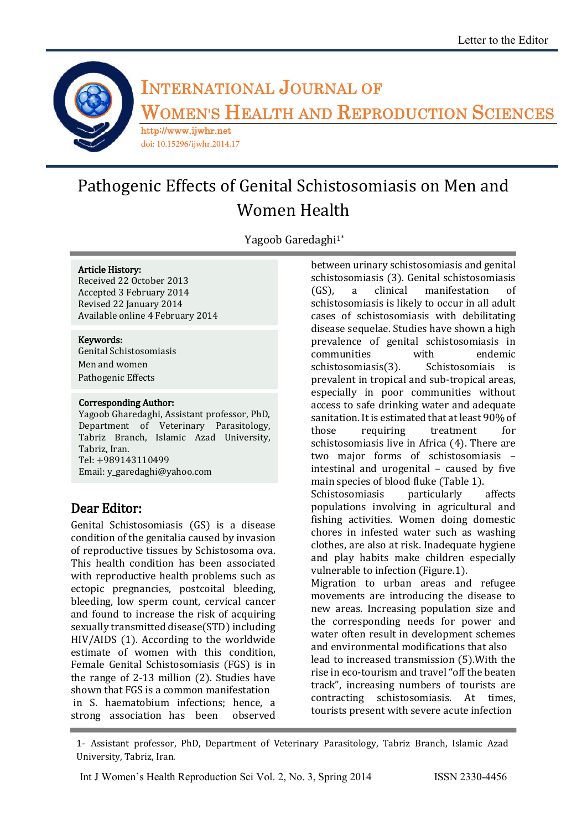

# **INTERNATIONAL JOURNAL OF <sup>W</sup>OMEN'S <sup>H</sup>EALTH AND <sup>R</sup>EPRODUCTION <sup>S</sup>CIENCES** http://www.ijwhr.net

doi: 10.15296/ijwhr.2014.17

# Pathogenic Effects of Genital Schistosomiasis on Men and Women Health

Yagoob Garedaghi<sup>1\*</sup>

#### Article History:

Received 22 October 2013 Accepted 3 February 2014 Revised 22 January 2014 Available online 4 February 2014

#### Keywords:

Genital Schistosomiasis Men and women Pathogenic Effects

#### Corresponding Author:

Yagoob Gharedaghi, Assistant professor, PhD, Department of Veterinary Parasitology, Tabriz Branch, Islamic Azad University, Tabriz, Iran. Tel: +989143110499 Email: y\_garedaghi@yahoo.com

## Dear Editor:

Genital Schistosomiasis (GS) is a disease condition of the genitalia caused by invasion of reproductive tissues by Schistosoma ova. This health condition has been associated with reproductive health problems such as ectopic pregnancies, postcoital bleeding, bleeding, low sperm count, cervical cancer and found to increase the risk of acquiring sexually transmitted disease(STD) including HIV/AIDS (1). According to the worldwide estimate of women with this condition, Female Genital Schistosomiasis (FGS) is in the range of 2-13 million (2). Studies have shown that FGS is a common manifestation in S. haematobium infections; hence, a strong association has been observed

between urinary schistosomiasis and genital schistosomiasis (3). Genital schistosomiasis (GS), a clinical manifestation of schistosomiasis is likely to occur in all adult cases of schistosomiasis with debilitating disease sequelae. Studies have shown a high prevalence of genital schistosomiasis in communities with endemic schistosomiasis(3). Schistosomiais is prevalent in tropical and sub-tropical areas, especially in poor communities without access to safe drinking water and adequate sanitation. It is estimated that at least 90% of those requiring treatment for schistosomiasis live in Africa (4). There are two major forms of schistosomiasis – intestinal and urogenital – caused by five main species of blood fluke (Table 1). Schistosomiasis particularly affects populations involving in agricultural and fishing activities. Women doing domestic chores in infested water such as washing clothes, are also at risk. Inadequate hygiene and play habits make children especially vulnerable to infection (Figure.1). Migration to urban areas and refugee movements are introducing the disease to new areas. Increasing population size and the corresponding needs for power and water often result in development schemes and environmental modifications that also lead to increased transmission (5).With the rise in eco-tourism and travel "off the beaten track", increasing numbers of tourists are contracting schistosomiasis. At times, tourists present with severe acute infection

1- Assistant professor, PhD, Department of Veterinary Parasitology, Tabriz Branch, Islamic Azad University, Tabriz, Iran.

Int J Women's Health Reproduction Sci Vol. 2, No. 3, Spring 2014 ISSN 2330-4456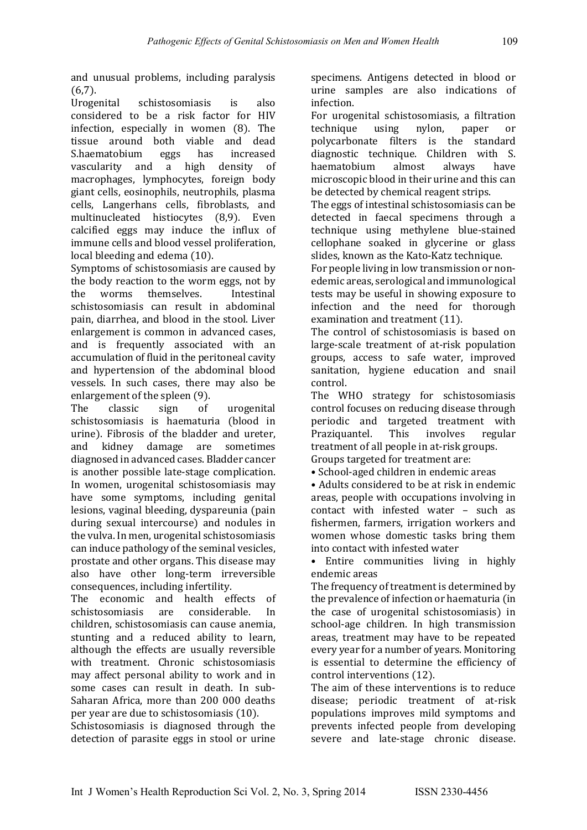and unusual problems, including paralysis (6,7).

Urogenital schistosomiasis is also considered to be a risk factor for HIV infection, especially in women (8). The tissue around both viable and dead S.haematobium eggs has increased vascularity and a high density of macrophages, lymphocytes, foreign body giant cells, eosinophils, neutrophils, plasma cells, Langerhans cells, fibroblasts, and multinucleated histiocytes (8,9). Even calcified eggs may induce the influx of immune cells and blood vessel proliferation, local bleeding and edema (10).

Symptoms of schistosomiasis are caused by the body reaction to the worm eggs, not by the worms themselves. Intestinal schistosomiasis can result in abdominal pain, diarrhea, and blood in the stool. Liver enlargement is common in advanced cases, and is frequently associated with an accumulation of fluid in the peritoneal cavity and hypertension of the abdominal blood vessels. In such cases, there may also be enlargement of the spleen (9).

The classic sign of urogenital schistosomiasis is haematuria (blood in urine). Fibrosis of the bladder and ureter, and kidney damage are sometimes diagnosed in advanced cases. Bladder cancer is another possible late-stage complication. In women, urogenital schistosomiasis may have some symptoms, including genital lesions, vaginal bleeding, dyspareunia (pain during sexual intercourse) and nodules in the vulva. In men, urogenital schistosomiasis can induce pathology of the seminal vesicles, prostate and other organs. This disease may also have other long-term irreversible consequences, including infertility.

The economic and health effects of schistosomiasis are considerable. In children, schistosomiasis can cause anemia, stunting and a reduced ability to learn, although the effects are usually reversible with treatment. Chronic schistosomiasis may affect personal ability to work and in some cases can result in death. In sub-Saharan Africa, more than 200 000 deaths per year are due to schistosomiasis (10).

Schistosomiasis is diagnosed through the detection of parasite eggs in stool or urine

specimens. Antigens detected in blood or urine samples are also indications of infection.

For urogenital schistosomiasis, a filtration technique using nylon, paper or polycarbonate filters is the standard diagnostic technique. Children with S. haematobium almost always have microscopic blood in their urine and this can be detected by chemical reagent strips.

The eggs of intestinal schistosomiasis can be detected in faecal specimens through a technique using methylene blue-stained cellophane soaked in glycerine or glass slides, known as the Kato-Katz technique.

For people living in low transmission or nonedemic areas, serological and immunological tests may be useful in showing exposure to infection and the need for thorough examination and treatment (11).

The control of schistosomiasis is based on large-scale treatment of at-risk population groups, access to safe water, improved sanitation, hygiene education and snail control.

The WHO strategy for schistosomiasis control focuses on reducing disease through periodic and targeted treatment with Praziquantel. This involves regular treatment of all people in at-risk groups. Groups targeted for treatment are:

• School-aged children in endemic areas

• Adults considered to be at risk in endemic areas, people with occupations involving in contact with infested water – such as fishermen, farmers, irrigation workers and women whose domestic tasks bring them into contact with infested water

• Entire communities living in highly endemic areas

The frequency of treatment is determined by the prevalence of infection or haematuria (in the case of urogenital schistosomiasis) in school-age children. In high transmission areas, treatment may have to be repeated every year for a number of years. Monitoring is essential to determine the efficiency of control interventions (12).

The aim of these interventions is to reduce disease; periodic treatment of at-risk populations improves mild symptoms and prevents infected people from developing severe and late-stage chronic disease.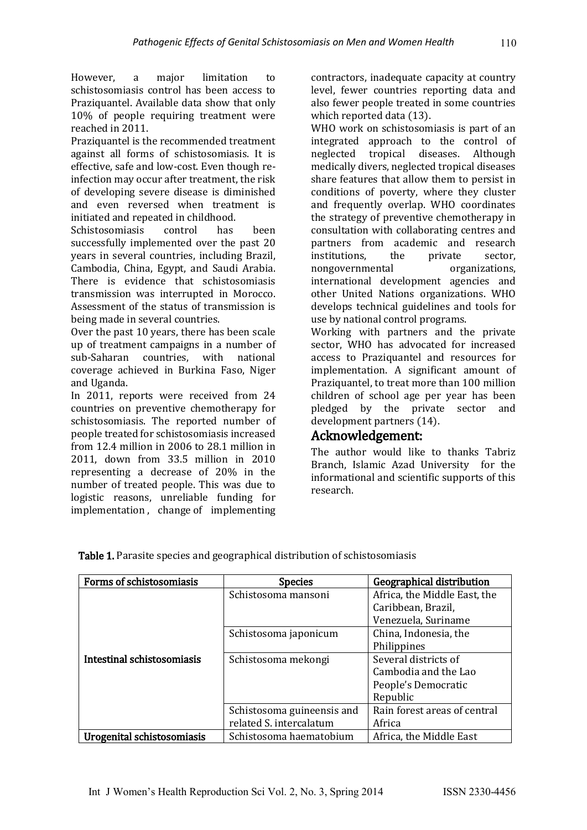However, a major limitation to schistosomiasis control has been access to Praziquantel. Available data show that only 10% of people requiring treatment were reached in 2011.

Praziquantel is the recommended treatment against all forms of schistosomiasis. It is effective, safe and low-cost. Even though reinfection may occur after treatment, the risk of developing severe disease is diminished and even reversed when treatment is initiated and repeated in childhood.

Schistosomiasis control has been successfully implemented over the past 20 years in several countries, including Brazil, Cambodia, China, Egypt, and Saudi Arabia. There is evidence that schistosomiasis transmission was interrupted in Morocco. Assessment of the status of transmission is being made in several countries.

Over the past 10 years, there has been scale up of treatment campaigns in a number of sub-Saharan countries, with national coverage achieved in Burkina Faso, Niger and Uganda.

In 2011, reports were received from 24 countries on preventive chemotherapy for schistosomiasis. The reported number of people treated for schistosomiasis increased from 12.4 million in 2006 to 28.1 million in 2011, down from 33.5 million in 2010 representing a decrease of 20% in the number of treated people. This was due to logistic reasons, unreliable funding for implementation , change of implementing contractors, inadequate capacity at country level, fewer countries reporting data and also fewer people treated in some countries which reported data (13).

WHO work on schistosomiasis is part of an integrated approach to the control of neglected tropical diseases. Although medically divers, neglected tropical diseases share features that allow them to persist in conditions of poverty, where they cluster and frequently overlap. WHO coordinates the strategy of preventive chemotherapy in consultation with collaborating centres and partners from academic and research institutions, the private sector, nongovernmental organizations, international development agencies and other United Nations organizations. WHO develops technical guidelines and tools for use by national control programs.

Working with partners and the private sector, WHO has advocated for increased access to Praziquantel and resources for implementation. A significant amount of Praziquantel, to treat more than 100 million children of school age per year has been pledged by the private sector and development partners (14).

### Acknowledgement:

The author would like to thanks Tabriz Branch, Islamic Azad University for the informational and scientific supports of this research.

| Forms of schistosomiasis   | <b>Species</b>             | Geographical distribution    |
|----------------------------|----------------------------|------------------------------|
|                            | Schistosoma mansoni        | Africa, the Middle East, the |
|                            |                            | Caribbean, Brazil,           |
|                            |                            | Venezuela, Suriname          |
|                            | Schistosoma japonicum      | China, Indonesia, the        |
|                            |                            | Philippines                  |
| Intestinal schistosomiasis | Schistosoma mekongi        | Several districts of         |
|                            |                            | Cambodia and the Lao         |
|                            |                            | People's Democratic          |
|                            |                            | Republic                     |
|                            | Schistosoma guineensis and | Rain forest areas of central |
|                            | related S. intercalatum    | Africa                       |
| Urogenital schistosomiasis | Schistosoma haematobium    | Africa, the Middle East      |

Table 1. Parasite species and geographical distribution of schistosomiasis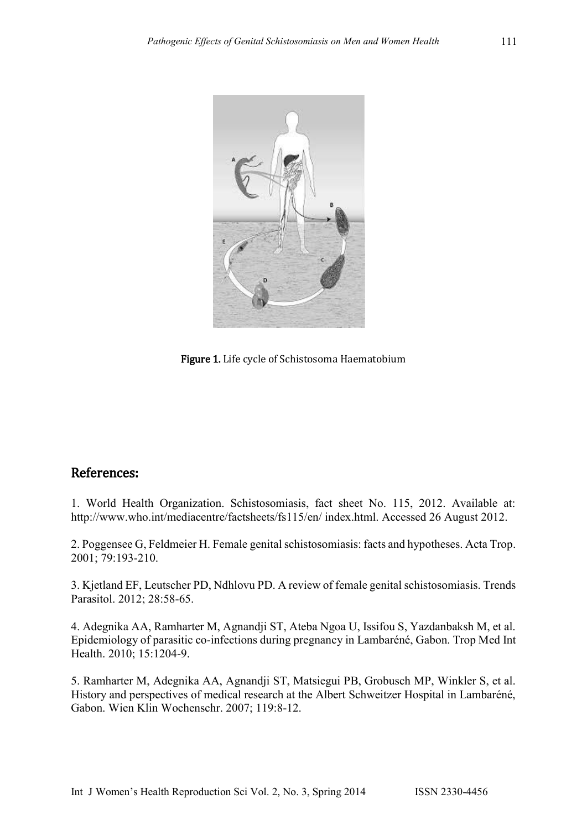

Figure 1. Life cycle of Schistosoma Haematobium

### References:

1. World Health Organization. Schistosomiasis, fact sheet No. 115, 2012. Available at: http://www.who.int/mediacentre/factsheets/fs115/en/ index.html. Accessed 26 August 2012.

2. Poggensee G, Feldmeier H. Female genital schistosomiasis: facts and hypotheses. Acta Trop. 2001; 79:193-210.

3. Kjetland EF, Leutscher PD, Ndhlovu PD. A review of female genital schistosomiasis. Trends Parasitol. 2012; 28:58-65.

4. Adegnika AA, Ramharter M, Agnandji ST, Ateba Ngoa U, Issifou S, Yazdanbaksh M, et al. Epidemiology of parasitic co-infections during pregnancy in Lambaréné, Gabon. Trop Med Int Health. 2010; 15:1204-9.

5. Ramharter M, Adegnika AA, Agnandji ST, Matsiegui PB, Grobusch MP, Winkler S, et al. History and perspectives of medical research at the Albert Schweitzer Hospital in Lambaréné, Gabon. Wien Klin Wochenschr. 2007; 119:8-12.